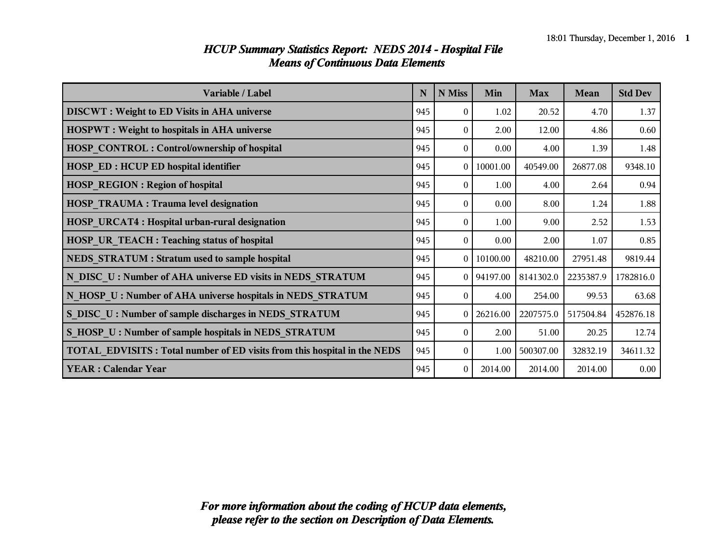| Variable / Label                                                                | N   | N Miss         | Min            | <b>Max</b> | Mean      | <b>Std Dev</b> |
|---------------------------------------------------------------------------------|-----|----------------|----------------|------------|-----------|----------------|
| <b>DISCWT</b> : Weight to ED Visits in AHA universe                             | 945 | $\Omega$       | 1.02           | 20.52      | 4.70      | 1.37           |
| <b>HOSPWT</b> : Weight to hospitals in AHA universe                             | 945 | $\theta$       | 2.00           | 12.00      | 4.86      | 0.60           |
| HOSP CONTROL: Control/ownership of hospital                                     | 945 | $\theta$       | 0.00           | 4.00       | 1.39      | 1.48           |
| <b>HOSP ED: HCUP ED hospital identifier</b>                                     | 945 | $\overline{0}$ | 10001.00       | 40549.00   | 26877.08  | 9348.10        |
| <b>HOSP REGION: Region of hospital</b>                                          | 945 | $\theta$       | 1.00           | 4.00       | 2.64      | 0.94           |
| <b>HOSP TRAUMA: Trauma level designation</b>                                    | 945 | $\theta$       | 0.00           | 8.00       | 1.24      | 1.88           |
| HOSP_URCAT4: Hospital urban-rural designation                                   | 945 | $\theta$       | 1.00           | 9.00       | 2.52      | 1.53           |
| HOSP UR TEACH : Teaching status of hospital                                     | 945 | $\theta$       | 0.00           | 2.00       | 1.07      | 0.85           |
| NEDS STRATUM : Stratum used to sample hospital                                  | 945 |                | 0   10100.00   | 48210.00   | 27951.48  | 9819.44        |
| N DISC U: Number of AHA universe ED visits in NEDS STRATUM                      | 945 |                | $0$   94197.00 | 8141302.0  | 2235387.9 | 1782816.0      |
| N HOSP U: Number of AHA universe hospitals in NEDS STRATUM                      | 945 | $\theta$       | 4.00           | 254.00     | 99.53     | 63.68          |
| S DISC U: Number of sample discharges in NEDS STRATUM                           | 945 | 0 <sup>1</sup> | 26216.00       | 2207575.0  | 517504.84 | 452876.18      |
| S_HOSP_U : Number of sample hospitals in NEDS_STRATUM                           | 945 | $\theta$       | 2.00           | 51.00      | 20.25     | 12.74          |
| <b>TOTAL EDVISITS: Total number of ED visits from this hospital in the NEDS</b> | 945 | $\theta$       | 1.00           | 500307.00  | 32832.19  | 34611.32       |
| <b>YEAR: Calendar Year</b>                                                      | 945 | $\theta$       | 2014.00        | 2014.00    | 2014.00   | 0.00           |

#### *HCUP Summary Statistics Report: NEDS 2014 - Hospital File Means of Continuous Data Elements*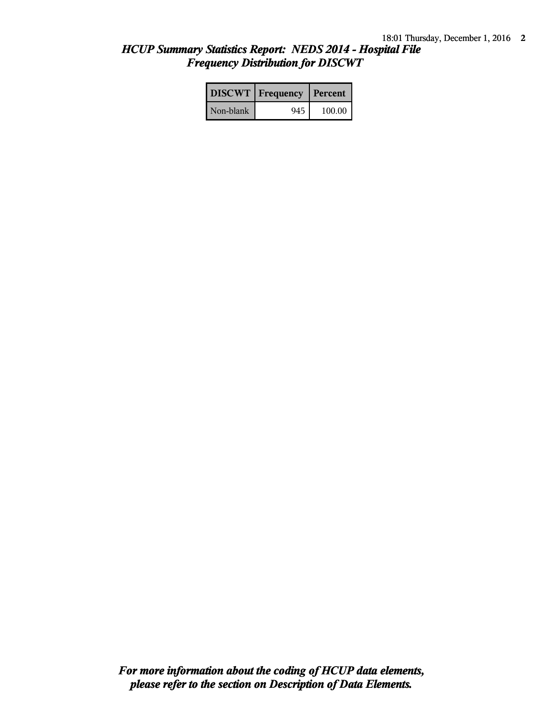### *HCUP Summary Statistics Report: NEDS 2014 - Hospital File Frequency Distribution for DISCWT*

|           | <b>DISCWT</b>   Frequency   Percent |          |
|-----------|-------------------------------------|----------|
| Non-blank | 945                                 | $100.00$ |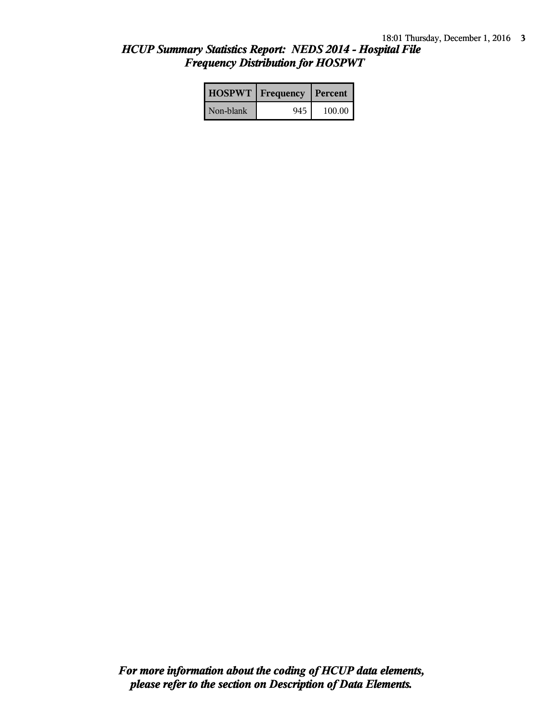# *HCUP Summary Statistics Report: NEDS 2014 - Hospital File Frequency Distribution for HOSPWT*

|           | <b>HOSPWT</b>   Frequency   Percent |        |
|-----------|-------------------------------------|--------|
| Non-blank | 945                                 | 100.00 |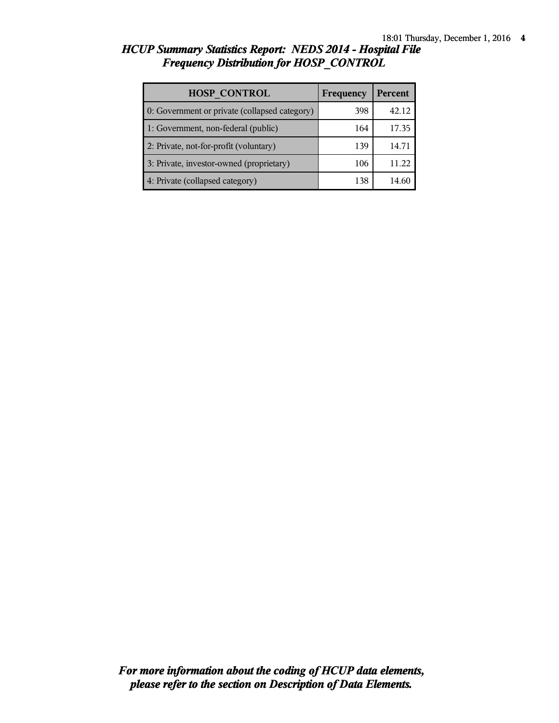# *HCUP Summary Statistics Report: NEDS 2014 - Hospital File Frequency Distribution for HOSP\_CONTROL*

| <b>HOSP CONTROL</b>                           | Frequency | <b>Percent</b> |
|-----------------------------------------------|-----------|----------------|
| 0: Government or private (collapsed category) | 398       | 42.12          |
| 1: Government, non-federal (public)           | 164       | 17.35          |
| 2: Private, not-for-profit (voluntary)        | 139       | 14.71          |
| 3: Private, investor-owned (proprietary)      | 106       | 11.22          |
| 4: Private (collapsed category)               | 138       |                |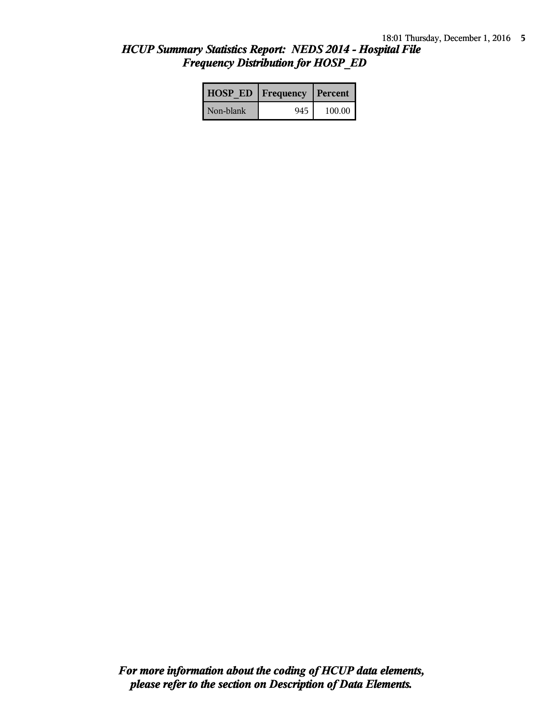# *HCUP Summary Statistics Report: NEDS 2014 - Hospital File Frequency Distribution for HOSP\_ED*

| <b>HOSP ED   Frequency   Percent  </b> |      |        |
|----------------------------------------|------|--------|
| Non-blank                              | 9451 | 100.00 |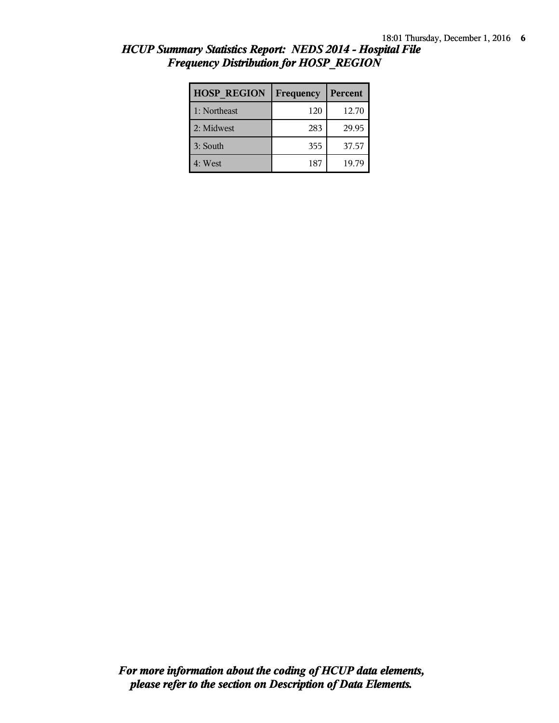| <b>HOSP REGION</b> | Frequency | Percent |
|--------------------|-----------|---------|
| 1: Northeast       | 120       | 12.70   |
| 2: Midwest         | 283       | 29.95   |
| 3: South           | 355       | 37.57   |
| 4: West            | 187       | 19.79   |

### *HCUP Summary Statistics Report: NEDS 2014 - Hospital File Frequency Distribution for HOSP\_REGION*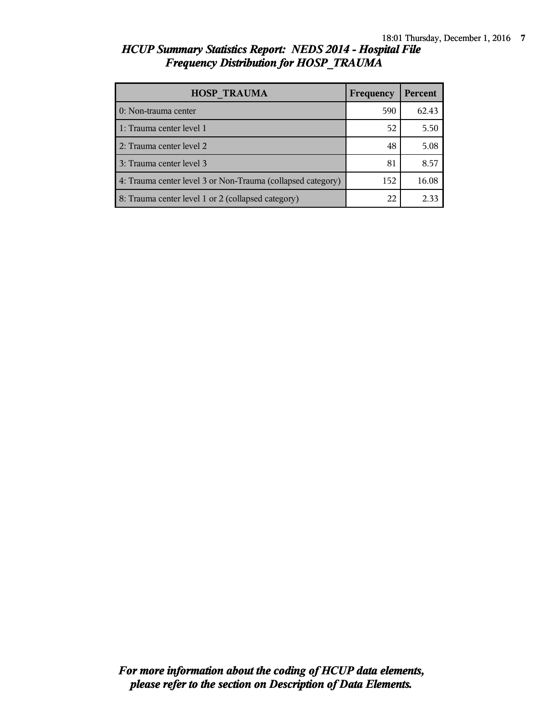## *HCUP Summary Statistics Report: NEDS 2014 - Hospital File Frequency Distribution for HOSP\_TRAUMA*

| <b>HOSP TRAUMA</b>                                          | Frequency | <b>Percent</b> |
|-------------------------------------------------------------|-----------|----------------|
| 0: Non-trauma center                                        | 590       | 62.43          |
| 1: Trauma center level 1                                    | 52        | 5.50           |
| 2: Trauma center level 2                                    | 48        | 5.08           |
| 3: Trauma center level 3                                    | 81        | 8.57           |
| 4: Trauma center level 3 or Non-Trauma (collapsed category) | 152       | 16.08          |
| 8: Trauma center level 1 or 2 (collapsed category)          | 22        | 2.33           |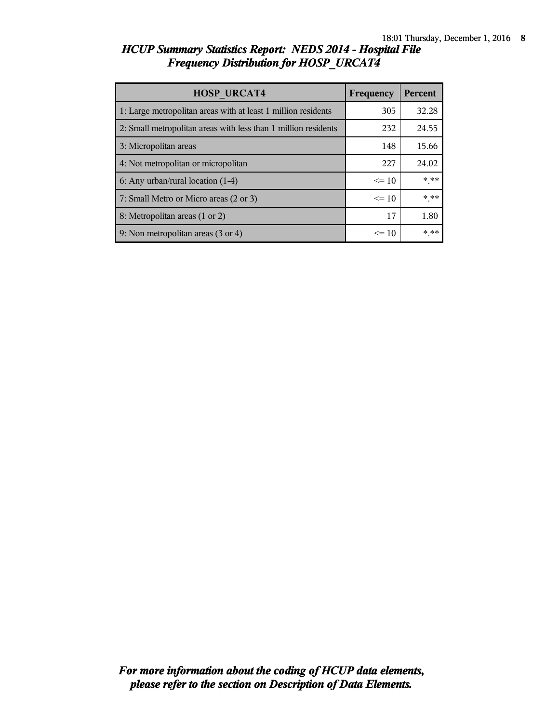## *HCUP Summary Statistics Report: NEDS 2014 - Hospital File Frequency Distribution for HOSP\_URCAT4*

| <b>HOSP URCAT4</b>                                             | Frequency | <b>Percent</b> |
|----------------------------------------------------------------|-----------|----------------|
| 1: Large metropolitan areas with at least 1 million residents  | 305       | 32.28          |
| 2: Small metropolitan areas with less than 1 million residents | 232       | 24.55          |
| 3: Micropolitan areas                                          | 148       | 15.66          |
| 4: Not metropolitan or micropolitan                            | 227       | 24.02          |
| 6: Any urban/rural location $(1-4)$                            | $\leq$ 10 | $***$          |
| 7: Small Metro or Micro areas (2 or 3)                         | $\leq$ 10 | $***$          |
| 8: Metropolitan areas (1 or 2)                                 | 17        | 1.80           |
| 9: Non metropolitan areas (3 or 4)                             | $\leq 10$ | * **           |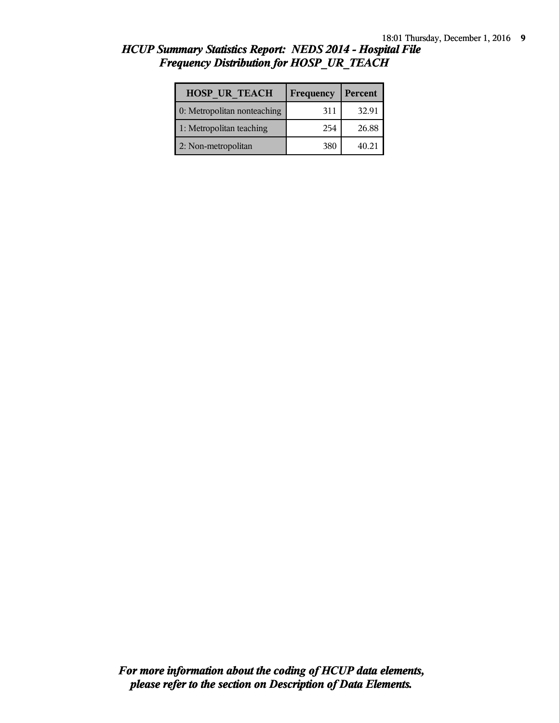| <b>HOSP UR TEACH</b>        | Frequency | Percent |
|-----------------------------|-----------|---------|
| 0: Metropolitan nonteaching | 311       | 32.91   |
| 1: Metropolitan teaching    | 254       | 26.88   |
| 2: Non-metropolitan         | 380       | 40.21   |

### *HCUP Summary Statistics Report: NEDS 2014 - Hospital File Frequency Distribution for HOSP\_UR\_TEACH*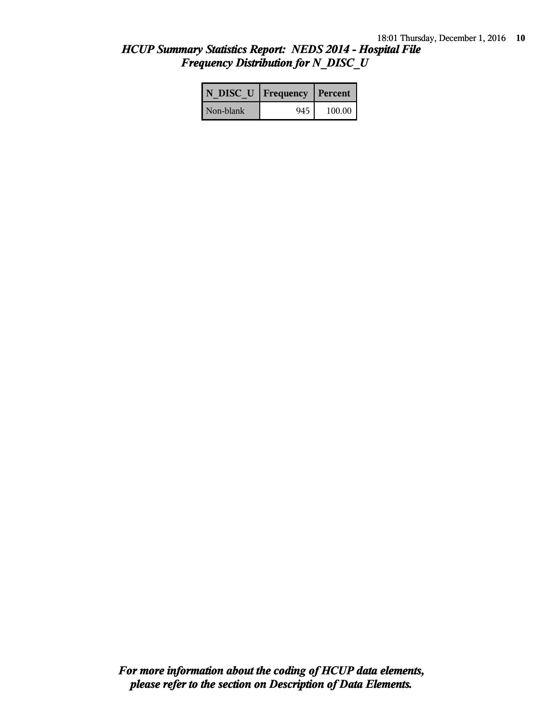## *HCUP Summary Statistics Report: NEDS 2014 - Hospital File Frequency Distribution for N\_DISC\_U*

| N DISC U   Frequency   Percent |     |        |
|--------------------------------|-----|--------|
| Non-blank                      | 945 | 100.00 |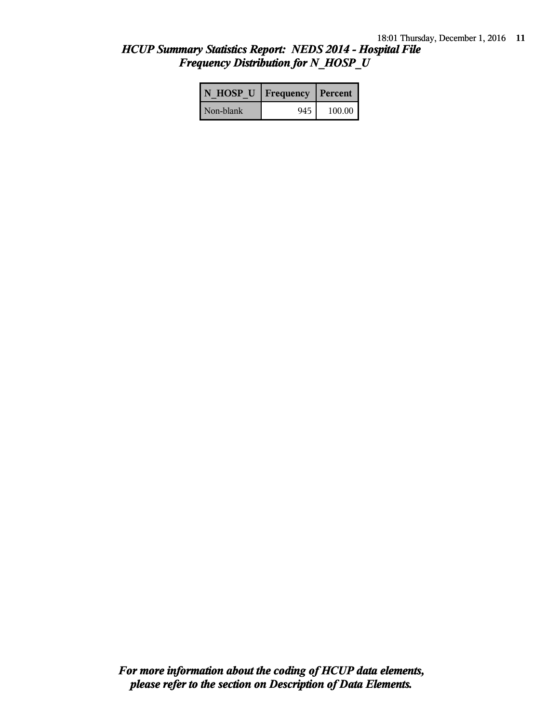## *HCUP Summary Statistics Report: NEDS 2014 - Hospital File Frequency Distribution for N\_HOSP\_U*

| N HOSP U   Frequency   Percent |     |        |
|--------------------------------|-----|--------|
| Non-blank                      | 945 | 100.00 |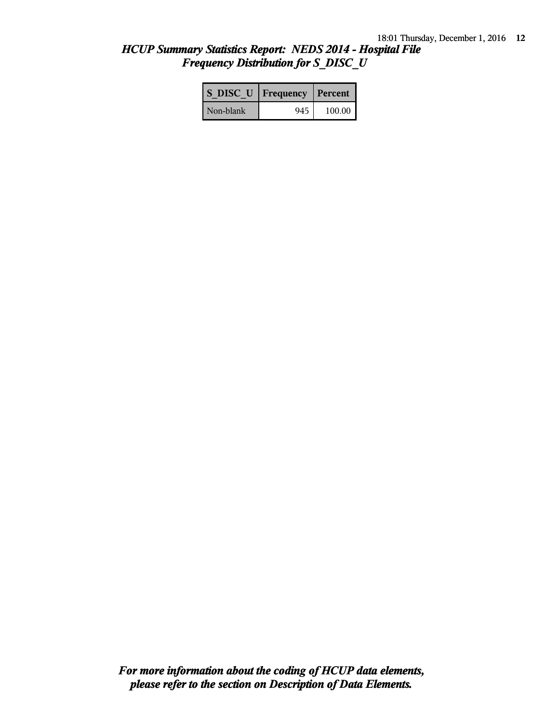## *HCUP Summary Statistics Report: NEDS 2014 - Hospital File Frequency Distribution for S\_DISC\_U*

| S DISC U   Frequency   Percent |                 |        |
|--------------------------------|-----------------|--------|
| Non-blank                      | $945 \text{ l}$ | 100.00 |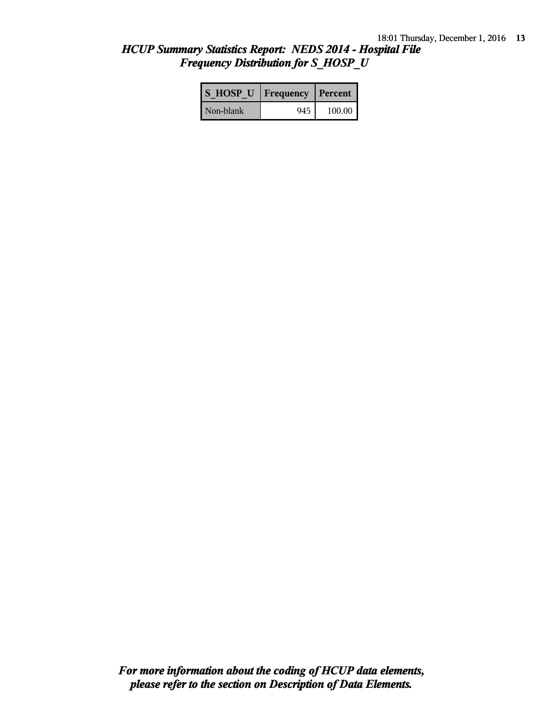## *HCUP Summary Statistics Report: NEDS 2014 - Hospital File Frequency Distribution for S\_HOSP\_U*

| S HOSP U   Frequency   Percent |     |        |  |
|--------------------------------|-----|--------|--|
| Non-blank                      | 945 | 100.00 |  |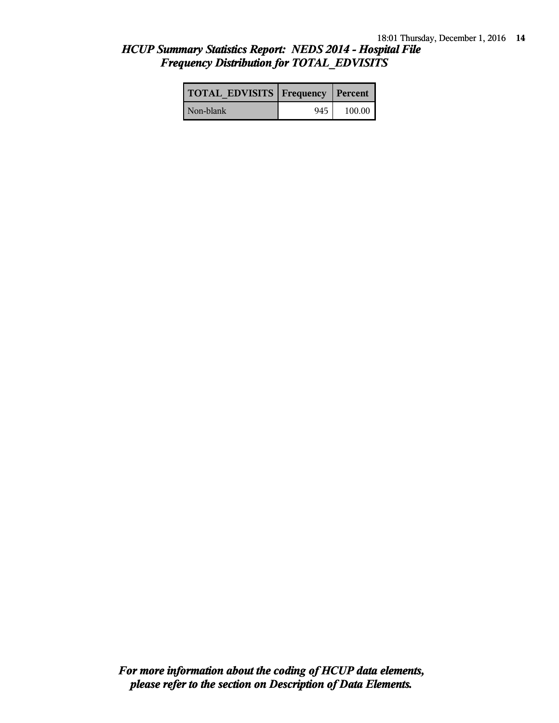## *HCUP Summary Statistics Report: NEDS 2014 - Hospital File Frequency Distribution for TOTAL\_EDVISITS*

| <b>TOTAL EDVISITS   Frequency   Percent  </b> |     |        |
|-----------------------------------------------|-----|--------|
| l Non-blank                                   | 945 | 100.00 |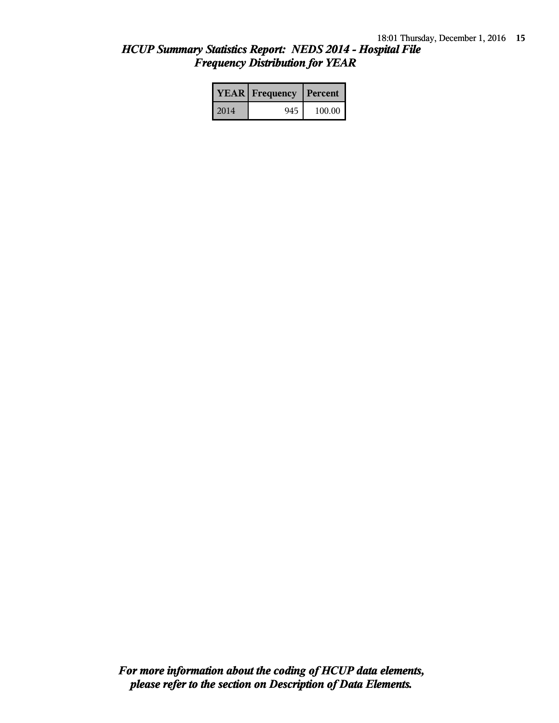## *HCUP Summary Statistics Report: NEDS 2014 - Hospital File Frequency Distribution for YEAR*

|      | <b>YEAR</b> Frequency | Percent |
|------|-----------------------|---------|
| 2014 | 945                   | 100.00  |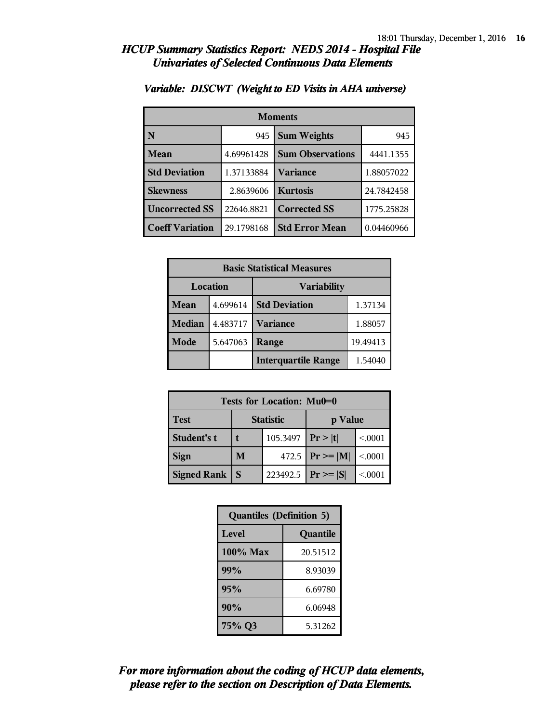| <b>Moments</b>         |            |                           |            |
|------------------------|------------|---------------------------|------------|
| N                      | 945        | <b>Sum Weights</b><br>945 |            |
| Mean                   | 4.69961428 | <b>Sum Observations</b>   | 4441.1355  |
| <b>Std Deviation</b>   | 1.37133884 | <b>Variance</b>           | 1.88057022 |
| <b>Skewness</b>        | 2.8639606  | <b>Kurtosis</b>           | 24.7842458 |
| <b>Uncorrected SS</b>  | 22646.8821 | <b>Corrected SS</b>       | 1775.25828 |
| <b>Coeff Variation</b> | 29.1798168 | <b>Std Error Mean</b>     | 0.04460966 |

#### *Variable: DISCWT (Weight to ED Visits in AHA universe)*

| <b>Basic Statistical Measures</b> |          |                            |          |
|-----------------------------------|----------|----------------------------|----------|
| Location                          |          | <b>Variability</b>         |          |
| Mean                              | 4.699614 | <b>Std Deviation</b>       | 1.37134  |
| <b>Median</b>                     | 4.483717 | <b>Variance</b>            | 1.88057  |
| Mode                              | 5.647063 | Range                      | 19.49413 |
|                                   |          | <b>Interquartile Range</b> | 1.54040  |

| Tests for Location: Mu0=0 |                             |                        |                     |         |
|---------------------------|-----------------------------|------------------------|---------------------|---------|
| <b>Test</b>               | <b>Statistic</b><br>p Value |                        |                     |         |
| Student's t               |                             | 105.3497               | Pr >  t             | < 0.001 |
| <b>Sign</b>               | M                           |                        | 472.5 $ Pr \ge  M $ | < 0.001 |
| <b>Signed Rank</b>        |                             | 223492.5 $ Pr \ge  S $ |                     | < 0.001 |

| <b>Quantiles (Definition 5)</b> |          |  |
|---------------------------------|----------|--|
| Level<br>Quantile               |          |  |
| $100\%$ Max                     | 20.51512 |  |
| 99%                             | 8.93039  |  |
| 95%                             | 6.69780  |  |
| 90%                             | 6.06948  |  |
| 75% Q3                          | 5.31262  |  |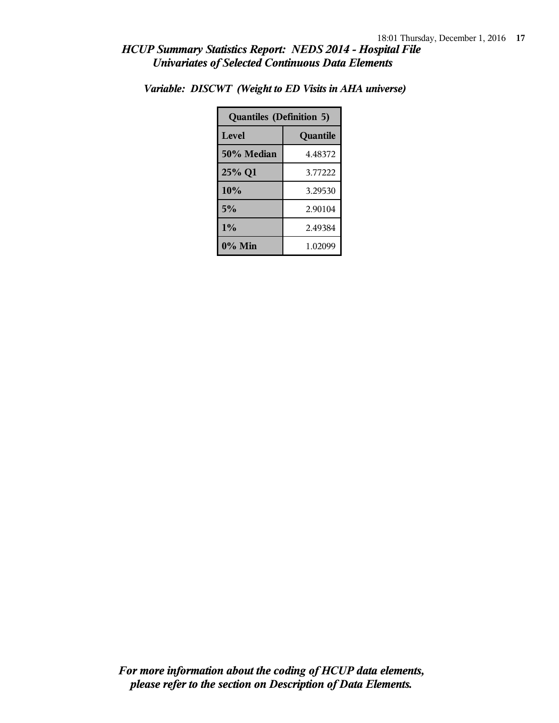| <b>Quantiles (Definition 5)</b> |          |  |
|---------------------------------|----------|--|
| Level                           | Quantile |  |
| 50% Median                      | 4.48372  |  |
| 25% Q1                          | 3.77222  |  |
| 10%                             | 3.29530  |  |
| 5%                              | 2.90104  |  |
| $1\%$                           | 2.49384  |  |
| $0\%$ Min                       | 1.02099  |  |

*Variable: DISCWT (Weight to ED Visits in AHA universe)*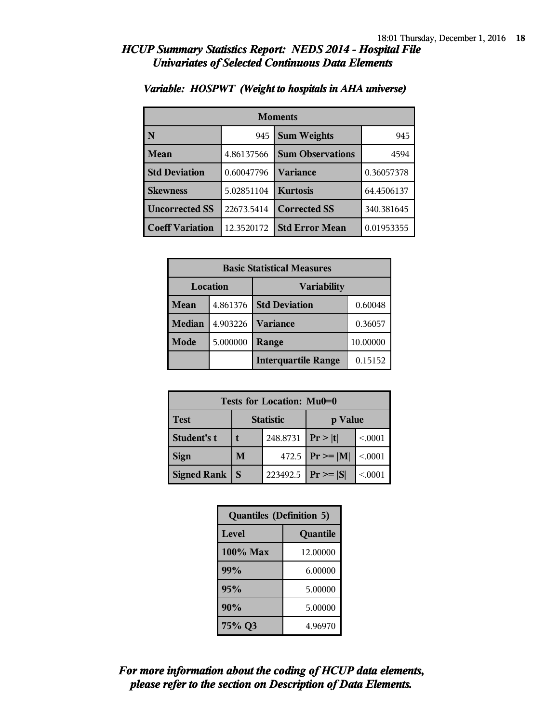| <b>Moments</b>         |            |                           |            |
|------------------------|------------|---------------------------|------------|
| N                      | 945        | <b>Sum Weights</b><br>945 |            |
| Mean                   | 4.86137566 | <b>Sum Observations</b>   | 4594       |
| <b>Std Deviation</b>   | 0.60047796 | Variance                  | 0.36057378 |
| <b>Skewness</b>        | 5.02851104 | <b>Kurtosis</b>           | 64.4506137 |
| <b>Uncorrected SS</b>  | 22673.5414 | <b>Corrected SS</b>       | 340.381645 |
| <b>Coeff Variation</b> | 12.3520172 | <b>Std Error Mean</b>     | 0.01953355 |

#### *Variable: HOSPWT (Weight to hospitals in AHA universe)*

| <b>Basic Statistical Measures</b> |          |                            |          |
|-----------------------------------|----------|----------------------------|----------|
| <b>Location</b>                   |          | <b>Variability</b>         |          |
| Mean                              | 4.861376 | <b>Std Deviation</b>       | 0.60048  |
| <b>Median</b>                     | 4.903226 | <b>Variance</b>            | 0.36057  |
| Mode                              | 5.000000 | Range                      | 10.00000 |
|                                   |          | <b>Interquartile Range</b> | 0.15152  |

| Tests for Location: Mu0=0 |                             |                       |                        |         |
|---------------------------|-----------------------------|-----------------------|------------------------|---------|
| <b>Test</b>               | <b>Statistic</b><br>p Value |                       |                        |         |
| Student's t               |                             | 248.8731   $Pr >  t $ |                        | < 0.001 |
| <b>Sign</b>               | M                           |                       | 472.5 $ Pr \ge  M $    | < .0001 |
| <b>Signed Rank</b>        | <sub>S</sub>                |                       | 223492.5 $ Pr \ge  S $ | < 0001  |

| <b>Quantiles (Definition 5)</b> |          |  |
|---------------------------------|----------|--|
| <b>Level</b><br>Quantile        |          |  |
| $100\%$ Max                     | 12.00000 |  |
| 99%                             | 6.00000  |  |
| 95%                             | 5.00000  |  |
| 90%                             | 5.00000  |  |
| 75% Q3                          | 4.96970  |  |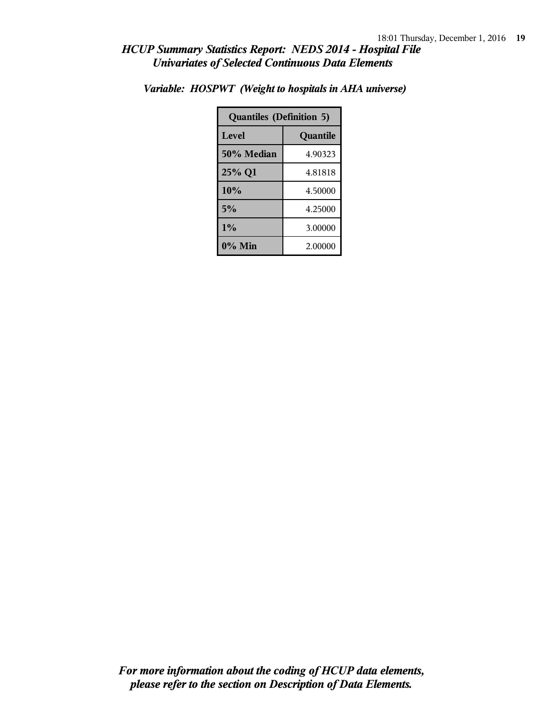| <b>Quantiles (Definition 5)</b> |          |  |
|---------------------------------|----------|--|
| Level                           | Quantile |  |
| 50% Median                      | 4.90323  |  |
| 25% Q1                          | 4.81818  |  |
| 10%                             | 4.50000  |  |
| 5%                              | 4.25000  |  |
| $1\%$                           | 3.00000  |  |
| $0\%$ Min                       | 2.00000  |  |

*Variable: HOSPWT (Weight to hospitals in AHA universe)*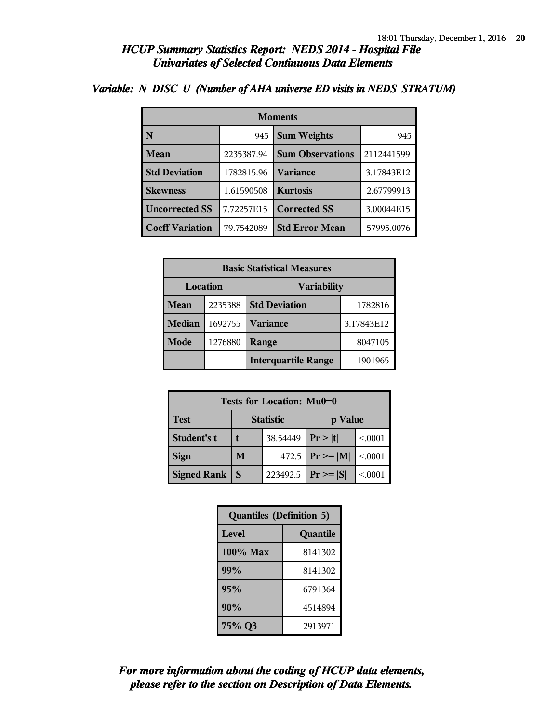| <b>Moments</b>         |            |                         |            |  |
|------------------------|------------|-------------------------|------------|--|
| N                      | 945        | <b>Sum Weights</b>      | 945        |  |
| <b>Mean</b>            | 2235387.94 | <b>Sum Observations</b> | 2112441599 |  |
| <b>Std Deviation</b>   | 1782815.96 | Variance                | 3.17843E12 |  |
| <b>Skewness</b>        | 1.61590508 | <b>Kurtosis</b>         | 2.67799913 |  |
| <b>Uncorrected SS</b>  | 7.72257E15 | <b>Corrected SS</b>     | 3.00044E15 |  |
| <b>Coeff Variation</b> | 79.7542089 | <b>Std Error Mean</b>   | 57995.0076 |  |

## *Variable: N\_DISC\_U (Number of AHA universe ED visits in NEDS\_STRATUM)*

| <b>Basic Statistical Measures</b> |         |                                 |            |  |
|-----------------------------------|---------|---------------------------------|------------|--|
| Location<br><b>Variability</b>    |         |                                 |            |  |
| Mean                              | 2235388 | <b>Std Deviation</b><br>1782816 |            |  |
| <b>Median</b>                     | 1692755 | <b>Variance</b>                 | 3.17843E12 |  |
| Mode                              | 1276880 | Range                           | 8047105    |  |
|                                   |         | <b>Interquartile Range</b>      | 1901965    |  |

| Tests for Location: Mu0=0 |                             |                        |                     |         |  |  |
|---------------------------|-----------------------------|------------------------|---------------------|---------|--|--|
| <b>Test</b>               | <b>Statistic</b><br>p Value |                        |                     |         |  |  |
| Student's t               |                             | 38.54449               | Pr >  t             | < 0.001 |  |  |
| <b>Sign</b>               | M                           |                        | 472.5 $ Pr \ge  M $ | < 0.001 |  |  |
| <b>Signed Rank</b>        | <b>S</b>                    | 223492.5 $ Pr \ge  S $ |                     | < 0001  |  |  |

| <b>Quantiles (Definition 5)</b> |         |  |
|---------------------------------|---------|--|
| Level<br>Quantile               |         |  |
| $100\%$ Max                     | 8141302 |  |
| 99%                             | 8141302 |  |
| 95%                             | 6791364 |  |
| 90%                             | 4514894 |  |
| 75% Q3                          | 2913971 |  |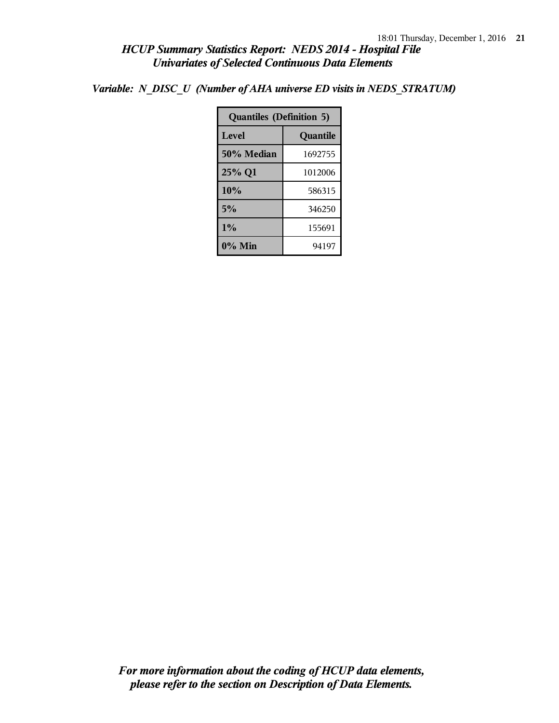*Variable: N\_DISC\_U (Number of AHA universe ED visits in NEDS\_STRATUM)*

| <b>Quantiles (Definition 5)</b> |         |  |
|---------------------------------|---------|--|
| Level<br>Quantile               |         |  |
| 50% Median                      | 1692755 |  |
| 25% Q1                          | 1012006 |  |
| 10%                             | 586315  |  |
| 5%                              | 346250  |  |
| 1%                              | 155691  |  |
| $0\%$ Min                       | 94197   |  |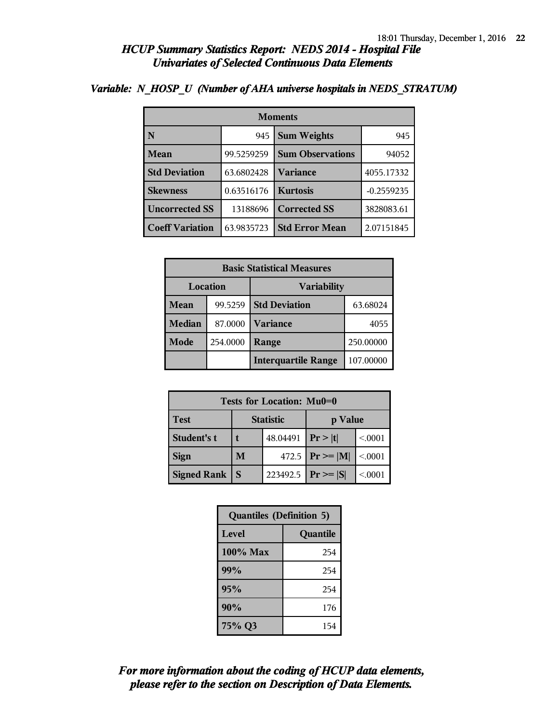| <b>Moments</b>         |            |                         |              |  |
|------------------------|------------|-------------------------|--------------|--|
| N                      | 945        | <b>Sum Weights</b>      | 945          |  |
| Mean                   | 99.5259259 | <b>Sum Observations</b> | 94052        |  |
| <b>Std Deviation</b>   | 63.6802428 | Variance                | 4055.17332   |  |
| <b>Skewness</b>        | 0.63516176 | <b>Kurtosis</b>         | $-0.2559235$ |  |
| <b>Uncorrected SS</b>  | 13188696   | <b>Corrected SS</b>     | 3828083.61   |  |
| <b>Coeff Variation</b> | 63.9835723 | <b>Std Error Mean</b>   | 2.07151845   |  |

#### *Variable: N\_HOSP\_U (Number of AHA universe hospitals in NEDS\_STRATUM)*

| <b>Basic Statistical Measures</b> |          |                            |           |  |
|-----------------------------------|----------|----------------------------|-----------|--|
| Location<br><b>Variability</b>    |          |                            |           |  |
| Mean                              | 99.5259  | <b>Std Deviation</b>       | 63.68024  |  |
| <b>Median</b>                     | 87.0000  | <b>Variance</b>            | 4055      |  |
| Mode                              | 254.0000 | Range                      | 250.00000 |  |
|                                   |          | <b>Interquartile Range</b> | 107.00000 |  |

| Tests for Location: Mu0=0 |                             |                        |                     |         |  |  |
|---------------------------|-----------------------------|------------------------|---------------------|---------|--|--|
| <b>Test</b>               | <b>Statistic</b><br>p Value |                        |                     |         |  |  |
| Student's t               |                             | 48.04491               | Pr >  t             | < 0.001 |  |  |
| <b>Sign</b>               | M                           |                        | 472.5 $ Pr \ge  M $ | < 0.001 |  |  |
| <b>Signed Rank</b>        |                             | 223492.5 $ Pr \ge  S $ |                     | < 0.001 |  |  |

| <b>Quantiles (Definition 5)</b> |          |  |
|---------------------------------|----------|--|
| <b>Level</b>                    | Quantile |  |
| $100\%$ Max                     | 254      |  |
| 99%                             | 254      |  |
| 95%                             | 254      |  |
| 90%                             | 176      |  |
| 75% Q3                          | 154      |  |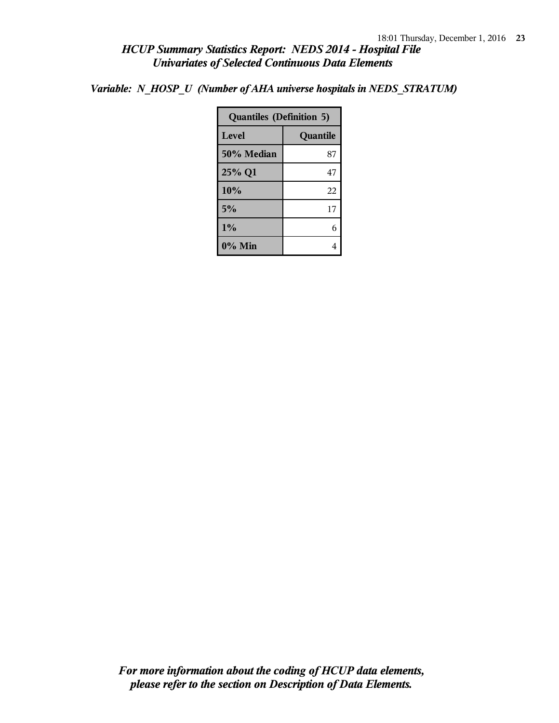*Variable: N\_HOSP\_U (Number of AHA universe hospitals in NEDS\_STRATUM)*

| <b>Quantiles (Definition 5)</b> |          |  |
|---------------------------------|----------|--|
| Level                           | Quantile |  |
| 50% Median                      | 87       |  |
| 25% Q1                          | 47       |  |
| 10%                             | 22       |  |
| 5%                              | 17       |  |
| 1%                              |          |  |
| $0\%$ Min                       |          |  |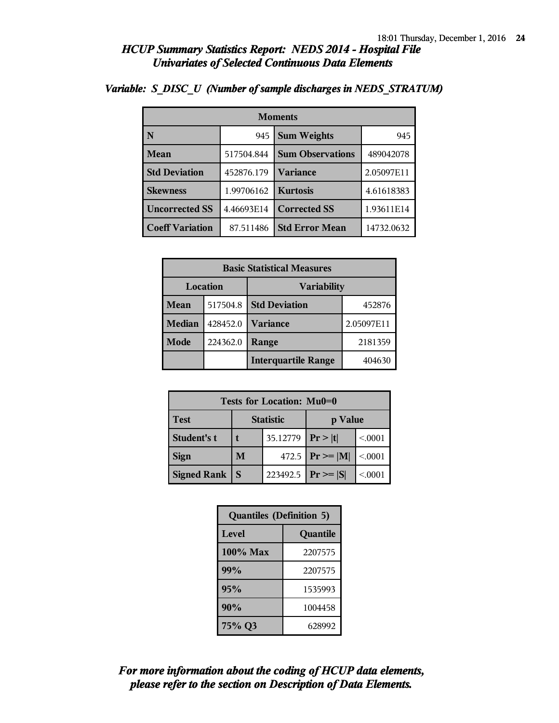| <b>Moments</b>         |            |                         |            |  |
|------------------------|------------|-------------------------|------------|--|
| N                      | 945        | <b>Sum Weights</b>      | 945        |  |
| <b>Mean</b>            | 517504.844 | <b>Sum Observations</b> | 489042078  |  |
| <b>Std Deviation</b>   | 452876.179 | Variance                | 2.05097E11 |  |
| <b>Skewness</b>        | 1.99706162 | <b>Kurtosis</b>         | 4.61618383 |  |
| <b>Uncorrected SS</b>  | 4.46693E14 | <b>Corrected SS</b>     | 1.93611E14 |  |
| <b>Coeff Variation</b> | 87.511486  | <b>Std Error Mean</b>   | 14732.0632 |  |

### *Variable: S\_DISC\_U (Number of sample discharges in NEDS\_STRATUM)*

| <b>Basic Statistical Measures</b> |          |                            |            |  |
|-----------------------------------|----------|----------------------------|------------|--|
| Location<br><b>Variability</b>    |          |                            |            |  |
| Mean                              | 517504.8 | <b>Std Deviation</b>       | 452876     |  |
| <b>Median</b>                     | 428452.0 | <b>Variance</b>            | 2.05097E11 |  |
| Mode                              | 224362.0 | Range                      | 2181359    |  |
|                                   |          | <b>Interquartile Range</b> | 404630     |  |

| <b>Tests for Location: Mu0=0</b> |                             |          |                     |         |  |  |
|----------------------------------|-----------------------------|----------|---------------------|---------|--|--|
| <b>Test</b>                      | <b>Statistic</b><br>p Value |          |                     |         |  |  |
| Student's t                      | 35.12779                    |          | Pr >  t             | < 0.001 |  |  |
| <b>Sign</b>                      | M                           |          | 472.5 $ Pr \ge  M $ | < 0.001 |  |  |
| <b>Signed Rank</b>               | <sub>S</sub>                | 223492.5 | $Pr \geq  S $       | < 0001  |  |  |

| <b>Quantiles (Definition 5)</b> |         |  |  |
|---------------------------------|---------|--|--|
| Level<br>Quantile               |         |  |  |
| 100% Max                        | 2207575 |  |  |
| 99%                             | 2207575 |  |  |
| 95%                             | 1535993 |  |  |
| 90%                             | 1004458 |  |  |
| 75% Q3                          | 628992  |  |  |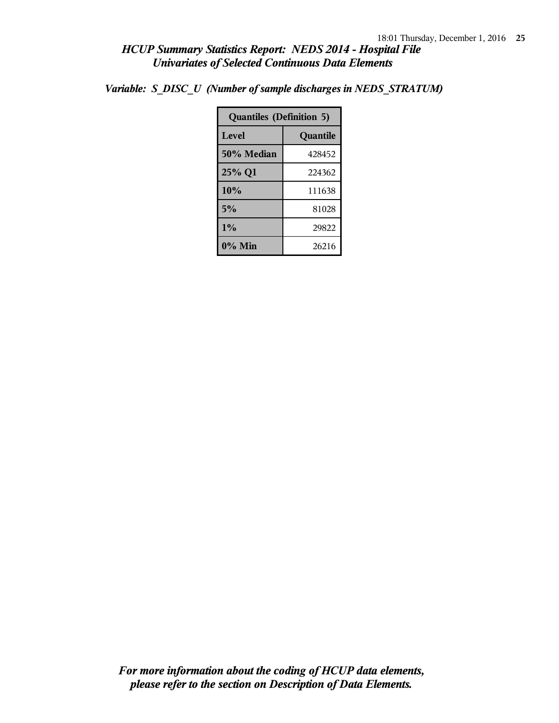*Variable: S\_DISC\_U (Number of sample discharges in NEDS\_STRATUM)*

| <b>Quantiles (Definition 5)</b> |          |  |
|---------------------------------|----------|--|
| Level                           | Quantile |  |
| 50% Median                      | 428452   |  |
| 25% Q1                          | 224362   |  |
| 10%                             | 111638   |  |
| 5%                              | 81028    |  |
| $1\%$                           | 29822    |  |
| 0% Min                          | 26216    |  |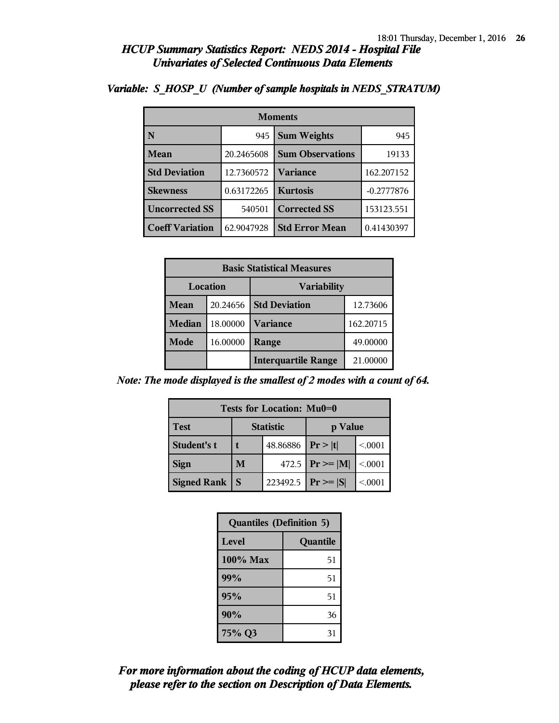| <b>Moments</b>         |            |                         |              |  |  |
|------------------------|------------|-------------------------|--------------|--|--|
| N                      | 945        | <b>Sum Weights</b>      | 945          |  |  |
| Mean                   | 20.2465608 | <b>Sum Observations</b> | 19133        |  |  |
| <b>Std Deviation</b>   | 12.7360572 | <b>Variance</b>         | 162.207152   |  |  |
| <b>Skewness</b>        | 0.63172265 | <b>Kurtosis</b>         | $-0.2777876$ |  |  |
| <b>Uncorrected SS</b>  | 540501     | <b>Corrected SS</b>     | 153123.551   |  |  |
| <b>Coeff Variation</b> | 62.9047928 | <b>Std Error Mean</b>   | 0.41430397   |  |  |

#### *Variable: S\_HOSP\_U (Number of sample hospitals in NEDS\_STRATUM)*

| <b>Basic Statistical Measures</b> |          |                            |           |  |
|-----------------------------------|----------|----------------------------|-----------|--|
|                                   | Location | <b>Variability</b>         |           |  |
| Mean                              | 20.24656 | <b>Std Deviation</b>       | 12.73606  |  |
| <b>Median</b>                     | 18.00000 | <b>Variance</b>            | 162.20715 |  |
| Mode                              | 16.00000 | Range                      | 49.00000  |  |
|                                   |          | <b>Interquartile Range</b> | 21.00000  |  |

*Note: The mode displayed is the smallest of 2 modes with a count of 64.*

| Tests for Location: Mu0=0 |                             |          |                   |         |  |  |
|---------------------------|-----------------------------|----------|-------------------|---------|--|--|
| <b>Test</b>               | <b>Statistic</b><br>p Value |          |                   |         |  |  |
| Student's t               |                             | 48.86886 | Pr> t <br>< 0.001 |         |  |  |
| <b>Sign</b>               | М                           | 472.5    | $ Pr \ge =  M $   | < .0001 |  |  |
| <b>Signed Rank</b>        | S                           | 223492.5 | $Pr \geq  S $     | < 0.001 |  |  |

| <b>Quantiles (Definition 5)</b> |          |  |
|---------------------------------|----------|--|
| Level                           | Quantile |  |
| $100\%$ Max                     | 51       |  |
| 99%                             | 51       |  |
| 95%                             | 51       |  |
| 90%                             | 36       |  |
| 75% Q3                          | 31       |  |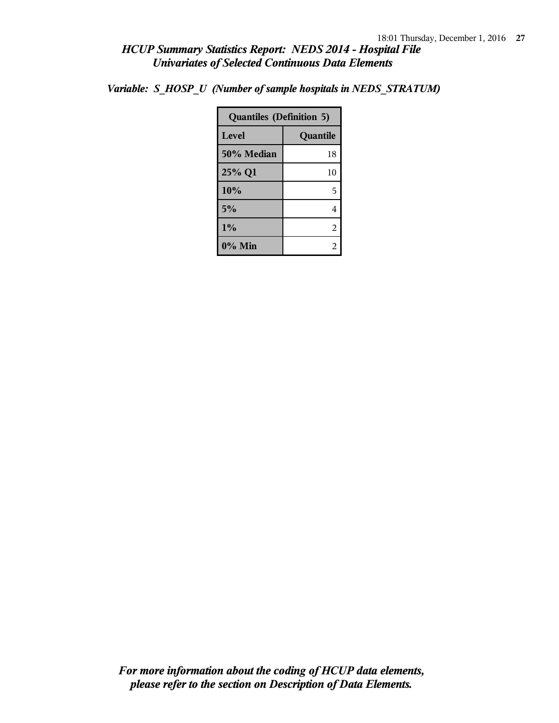*Variable: S\_HOSP\_U (Number of sample hospitals in NEDS\_STRATUM)*

| <b>Quantiles (Definition 5)</b> |          |  |
|---------------------------------|----------|--|
| Level                           | Quantile |  |
| 50% Median                      | 18       |  |
| 25% Q1                          | 10       |  |
| 10%                             | 5        |  |
| 5%                              | 4        |  |
| 1%                              | 2        |  |
| $0\%$ Min                       |          |  |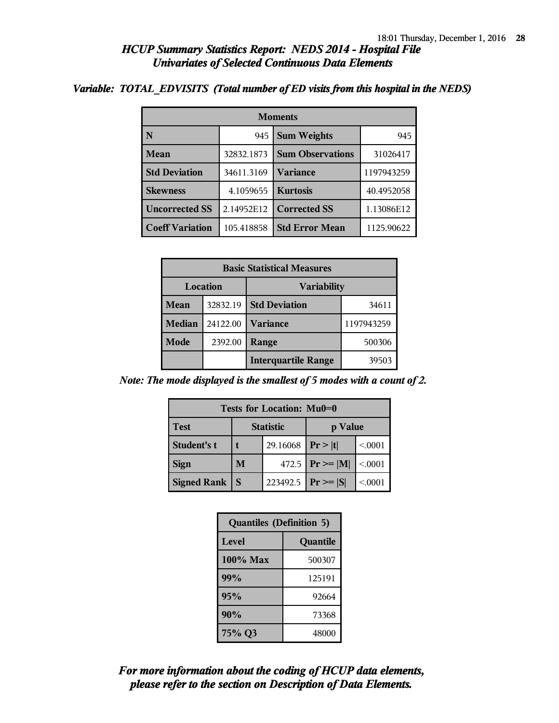#### *Variable: TOTAL\_EDVISITS (Total number of ED visits from this hospital in the NEDS)*

| <b>Moments</b>         |            |                         |            |  |  |
|------------------------|------------|-------------------------|------------|--|--|
| N                      | 945        | <b>Sum Weights</b>      | 945        |  |  |
| Mean                   | 32832.1873 | <b>Sum Observations</b> | 31026417   |  |  |
| <b>Std Deviation</b>   | 34611.3169 | Variance                | 1197943259 |  |  |
| <b>Skewness</b>        | 4.1059655  | <b>Kurtosis</b>         | 40.4952058 |  |  |
| <b>Uncorrected SS</b>  | 2.14952E12 | <b>Corrected SS</b>     | 1.13086E12 |  |  |
| <b>Coeff Variation</b> | 105.418858 | <b>Std Error Mean</b>   | 1125.90622 |  |  |

| <b>Basic Statistical Measures</b> |          |                            |            |  |
|-----------------------------------|----------|----------------------------|------------|--|
| Location<br><b>Variability</b>    |          |                            |            |  |
| Mean                              | 32832.19 | <b>Std Deviation</b>       | 34611      |  |
| <b>Median</b>                     | 24122.00 | <b>Variance</b>            | 1197943259 |  |
| Mode                              | 2392.00  | Range                      | 500306     |  |
|                                   |          | <b>Interquartile Range</b> | 39503      |  |

*Note: The mode displayed is the smallest of 5 modes with a count of 2.*

| Tests for Location: Mu0=0 |                             |          |               |         |  |  |
|---------------------------|-----------------------------|----------|---------------|---------|--|--|
| <b>Test</b>               | <b>Statistic</b><br>p Value |          |               |         |  |  |
| Student's t               | 29.16068                    |          | Pr >  t       | < 0.001 |  |  |
| <b>Sign</b>               | M                           | 472.5    | $Pr \geq  M $ | < 0.001 |  |  |
| <b>Signed Rank</b>        | S                           | 223492.5 | $ Pr \ge  S $ | < 0001  |  |  |

| <b>Quantiles (Definition 5)</b> |          |
|---------------------------------|----------|
| Level                           | Quantile |
| $100\%$ Max                     | 500307   |
| 99%                             | 125191   |
| 95%                             | 92664    |
| 90%                             | 73368    |
| 75% Q3                          | 48000    |